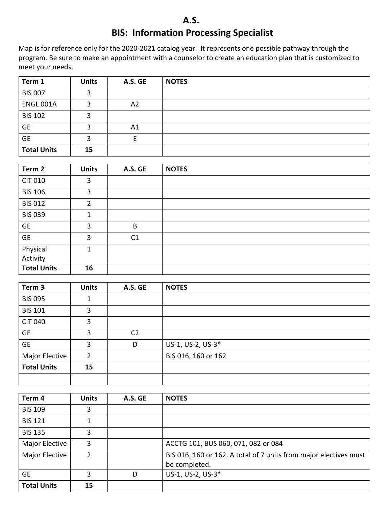## **A.S. BIS: Information Processing Specialist**

Map is for reference only for the 2020-2021 catalog year. It represents one possible pathway through the program. Be sure to make an appointment with a counselor to create an education plan that is customized to meet your needs.

| Term 1             | <b>Units</b> | A.S. GE | <b>NOTES</b> |
|--------------------|--------------|---------|--------------|
| <b>BIS 007</b>     | 3            |         |              |
| <b>ENGL 001A</b>   | 3            | A2      |              |
| <b>BIS 102</b>     | 3            |         |              |
| <b>GE</b>          | 2            | A1      |              |
| <b>GE</b>          | 3            |         |              |
| <b>Total Units</b> | 15           |         |              |

| Term 2               | <b>Units</b> | A.S. GE        | <b>NOTES</b> |
|----------------------|--------------|----------------|--------------|
| <b>CIT 010</b>       | 3            |                |              |
| <b>BIS 106</b>       | 3            |                |              |
| <b>BIS 012</b>       | 2            |                |              |
| <b>BIS 039</b>       | 1            |                |              |
| <b>GE</b>            | 3            | B              |              |
| <b>GE</b>            | 3            | C <sub>1</sub> |              |
|                      | 1            |                |              |
| Physical<br>Activity |              |                |              |
| <b>Total Units</b>   | 16           |                |              |

| Term <sub>3</sub>     | <b>Units</b> | A.S. GE        | <b>NOTES</b>        |
|-----------------------|--------------|----------------|---------------------|
| <b>BIS 095</b>        | 1            |                |                     |
| <b>BIS 101</b>        | 3            |                |                     |
| <b>CIT 040</b>        | 3            |                |                     |
| <b>GE</b>             | 3            | C <sub>2</sub> |                     |
| <b>GE</b>             | 3            | D              | US-1, US-2, US-3*   |
| <b>Major Elective</b> | 2            |                | BIS 016, 160 or 162 |
| <b>Total Units</b>    | 15           |                |                     |
|                       |              |                |                     |

| Term 4             | <b>Units</b> | A.S. GE | <b>NOTES</b>                                                                       |
|--------------------|--------------|---------|------------------------------------------------------------------------------------|
| <b>BIS 109</b>     | 3            |         |                                                                                    |
| <b>BIS 121</b>     |              |         |                                                                                    |
| <b>BIS 135</b>     | 3            |         |                                                                                    |
| Major Elective     | 3            |         | ACCTG 101, BUS 060, 071, 082 or 084                                                |
| Major Elective     | 2            |         | BIS 016, 160 or 162. A total of 7 units from major electives must<br>be completed. |
| <b>GE</b>          | 3            | D       | US-1, US-2, US-3*                                                                  |
| <b>Total Units</b> | 15           |         |                                                                                    |